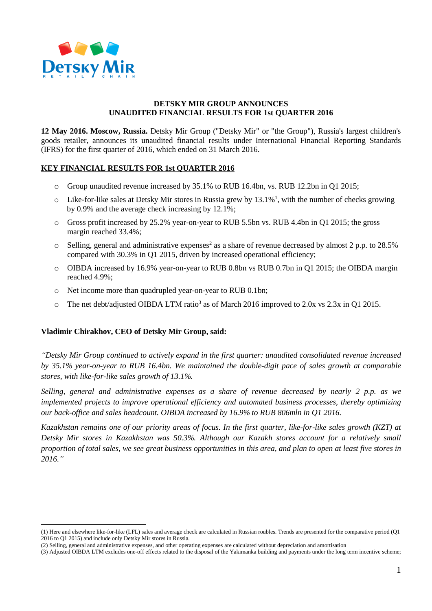

## **DETSKY MIR GROUP ANNOUNCES UNAUDITED FINANCIAL RESULTS FOR 1st QUARTER 2016**

**12 May 2016. Moscow, Russia.** Detsky Mir Group ("Detsky Mir" or "the Group"), Russia's largest children's goods retailer, announces its unaudited financial results under International Financial Reporting Standards (IFRS) for the first quarter of 2016, which ended on 31 March 2016.

## **KEY FINANCIAL RESULTS FOR 1st QUARTER 2016**

- o Group unaudited revenue increased by 35.1% to RUB 16.4bn, vs. RUB 12.2bn in Q1 2015;
- $\circ$  Like-for-like sales at Detsky Mir stores in Russia grew by 13.1%<sup>1</sup>, with the number of checks growing by 0.9% and the average check increasing by 12.1%;
- o Gross profit increased by 25.2% year-on-year to RUB 5.5bn vs. RUB 4.4bn in Q1 2015; the gross margin reached 33.4%;
- $\circ$  Selling, general and administrative expenses<sup>2</sup> as a share of revenue decreased by almost 2 p.p. to 28.5% compared with 30.3% in Q1 2015, driven by increased operational efficiency;
- o OIBDA increased by 16.9% year-on-year to RUB 0.8bn vs RUB 0.7bn in Q1 2015; the OIBDA margin reached 4.9%;
- o Net income more than quadrupled year-on-year to RUB 0.1bn;
- $\circ$  The net debt/adjusted OIBDA LTM ratio<sup>3</sup> as of March 2016 improved to 2.0x vs 2.3x in Q1 2015.

#### **Vladimir Chirakhov, CEO of Detsky Mir Group, said:**

1

*"Detsky Mir Group continued to actively expand in the first quarter: unaudited consolidated revenue increased by 35.1% year-on-year to RUB 16.4bn. We maintained the double-digit pace of sales growth at comparable stores, with like-for-like sales growth of 13.1%.*

*Selling, general and administrative expenses as a share of revenue decreased by nearly 2 p.p. as we implemented projects to improve operational efficiency and automated business processes, thereby optimizing our back-office and sales headcount. OIBDA increased by 16.9% to RUB 806mln in Q1 2016.* 

*Kazakhstan remains one of our priority areas of focus. In the first quarter, like-for-like sales growth (KZT) at Detsky Mir stores in Kazakhstan was 50.3%. Although our Kazakh stores account for a relatively small proportion of total sales, we see great business opportunities in this area, and plan to open at least five stores in 2016."*

<sup>(1)</sup> Here and elsewhere like-for-like (LFL) sales and average check are calculated in Russian roubles. Trends are presented for the comparative period (Q1 2016 to Q1 2015) and include only Detsky Mir stores in Russia.

<sup>(2)</sup> Selling, general and administrative expenses, and other operating expenses are calculated without depreciation and amortisation

<sup>(3)</sup> Adjusted OIBDA LTM excludes one-off effects related to the disposal of the Yakimanka building and payments under the long term incentive scheme;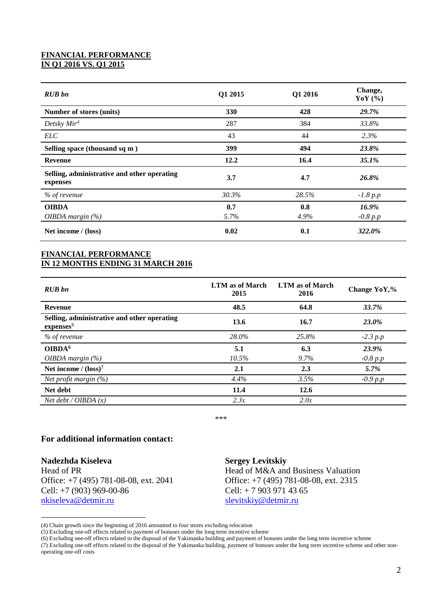## **FINANCIAL PERFORMANCE IN Q1 2016 VS. Q1 2015**

| <b>RUB</b> bn                                           | Q1 2015     | Q1 2016     | Change,<br>YoY $(\% )$ |
|---------------------------------------------------------|-------------|-------------|------------------------|
| Number of stores (units)                                | 330         | 428         | 29.7%                  |
| Detsky $Mir4$                                           | 287         | 384         | 33.8%                  |
| <i>ELC</i>                                              | 43          | 44          | 2.3%                   |
| Selling space (thousand sq m)                           | 399         | 494         | 23.8%                  |
| <b>Revenue</b>                                          | 12.2        | 16.4        | 35.1%                  |
| Selling, administrative and other operating<br>expenses | 3.7         | 4.7         | 26.8%                  |
| % of revenue                                            | 30.3%       | 28.5%       | $-1.8 p.p$             |
| <b>OIBDA</b><br><i>OIBDA margin</i> $(\%)$              | 0.7<br>5.7% | 0.8<br>4.9% | 16.9%<br>$-0.8 p.p$    |
| Net income / (loss)                                     | 0.02        | 0.1         | 322.0%                 |

## **FINANCIAL PERFORMANCE IN 12 MONTHS ENDING 31 MARCH 2016**

| <b>RUB</b> bn                                                        | LTM as of March<br>2015 | LTM as of March<br>2016 | Change YoY,% |
|----------------------------------------------------------------------|-------------------------|-------------------------|--------------|
| <b>Revenue</b>                                                       | 48.5                    | 64.8                    | 33.7%        |
| Selling, administrative and other operating<br>expenses <sup>5</sup> | 13.6                    | 16.7                    | 23.0%        |
| % of revenue                                                         | 28.0%                   | 25.8%                   | $-2.3 p.p$   |
| OIBDA <sup>6</sup>                                                   | 5.1                     | 6.3                     | 23.9%        |
| <i>OIBDA margin</i> $(\%)$                                           | 10.5%                   | $9.7\%$                 | $-0.8 p.p$   |
| Net income $/$ (loss) <sup>7</sup>                                   | 2.1                     | 2.3                     | $5.7\%$      |
| <i>Net profit margin</i> $(\%)$                                      | 4.4%                    | 3.5%                    | $-0.9 p.p$   |
| Net debt                                                             | 11.4                    | 12.6                    |              |
| Net debt / OIBDA $(x)$                                               | 2.3x                    | 2.0x                    |              |

\*\*\*

# **For additional information contact:**

**Nadezhda Kiseleva** Head of PR Office: +7 (495) 781-08-08, ext. 2041 Cell: +7 (903) 969-00-86 [nkiseleva@detmir.ru](mailto:nkiseleva@detmir.ru)

1

#### **Sergey Levitskiy**

Head of M&A and Business Valuation Office: +7 (495) 781-08-08, ext. 2315 Cell: + 7 903 971 43 65 [slevitskiy@detmir.ru](mailto:slevitskiy@detmir.ru)

<sup>(4)</sup> Chain growth since the beginning of 2016 amounted to four stores excluding relocation

<sup>(5)</sup> Excluding one-off effects related to payment of bonuses under the long term incentive scheme

<sup>(6)</sup> Excluding one-off effects related to the disposal of the Yakimanka building and payment of bonuses under the long term incentive scheme

<sup>(7)</sup> Excluding one-off effects related to the disposal of the Yakimanka building, payment of bonuses under the long term incentive scheme and other nonoperating one-off costs